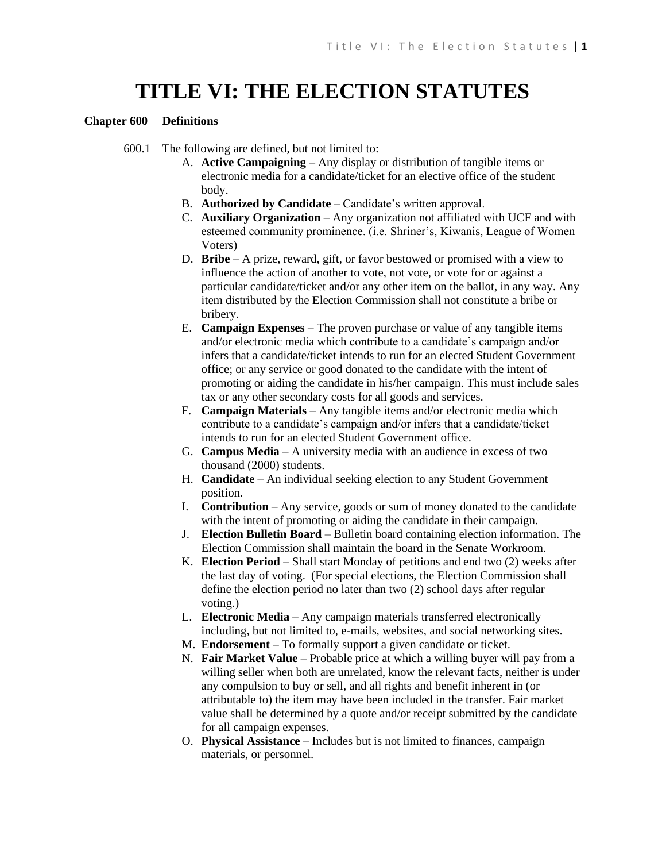# **TITLE VI: THE ELECTION STATUTES**

## **Chapter 600 Definitions**

600.1 The following are defined, but not limited to:

- A. **Active Campaigning** Any display or distribution of tangible items or electronic media for a candidate/ticket for an elective office of the student body.
- B. **Authorized by Candidate** Candidate's written approval.
- C. **Auxiliary Organization** Any organization not affiliated with UCF and with esteemed community prominence. (i.e. Shriner's, Kiwanis, League of Women Voters)
- D. **Bribe** A prize, reward, gift, or favor bestowed or promised with a view to influence the action of another to vote, not vote, or vote for or against a particular candidate/ticket and/or any other item on the ballot, in any way. Any item distributed by the Election Commission shall not constitute a bribe or bribery.
- E. **Campaign Expenses** The proven purchase or value of any tangible items and/or electronic media which contribute to a candidate's campaign and/or infers that a candidate/ticket intends to run for an elected Student Government office; or any service or good donated to the candidate with the intent of promoting or aiding the candidate in his/her campaign. This must include sales tax or any other secondary costs for all goods and services.
- F. **Campaign Materials** Any tangible items and/or electronic media which contribute to a candidate's campaign and/or infers that a candidate/ticket intends to run for an elected Student Government office.
- G. **Campus Media** A university media with an audience in excess of two thousand (2000) students.
- H. **Candidate** An individual seeking election to any Student Government position.
- I. **Contribution** Any service, goods or sum of money donated to the candidate with the intent of promoting or aiding the candidate in their campaign.
- J. **Election Bulletin Board** Bulletin board containing election information. The Election Commission shall maintain the board in the Senate Workroom.
- K. **Election Period** Shall start Monday of petitions and end two (2) weeks after the last day of voting. (For special elections, the Election Commission shall define the election period no later than two (2) school days after regular voting.)
- L. **Electronic Media** Any campaign materials transferred electronically including, but not limited to, e-mails, websites, and social networking sites.
- M. **Endorsement** To formally support a given candidate or ticket.
- N. **Fair Market Value** Probable price at which a willing buyer will pay from a willing seller when both are unrelated, know the relevant facts, neither is under any compulsion to buy or sell, and all rights and benefit inherent in (or attributable to) the item may have been included in the transfer. Fair market value shall be determined by a quote and/or receipt submitted by the candidate for all campaign expenses.
- O. **Physical Assistance** Includes but is not limited to finances, campaign materials, or personnel.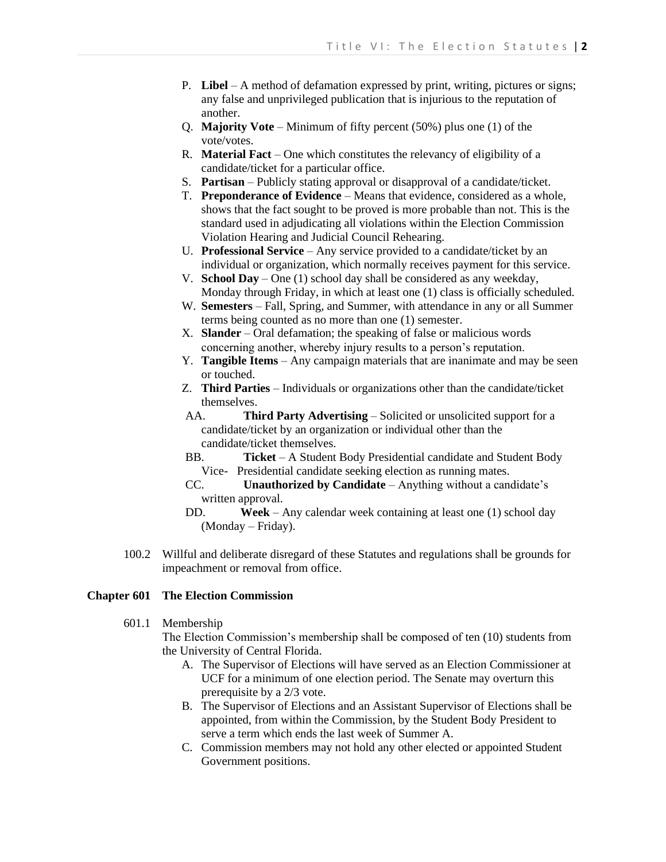- P. **Libel** A method of defamation expressed by print, writing, pictures or signs; any false and unprivileged publication that is injurious to the reputation of another.
- Q. **Majority Vote** Minimum of fifty percent (50%) plus one (1) of the vote/votes.
- R. **Material Fact** One which constitutes the relevancy of eligibility of a candidate/ticket for a particular office.
- S. **Partisan**  Publicly stating approval or disapproval of a candidate/ticket.
- T. **Preponderance of Evidence**  Means that evidence, considered as a whole, shows that the fact sought to be proved is more probable than not. This is the standard used in adjudicating all violations within the Election Commission Violation Hearing and Judicial Council Rehearing.
- U. **Professional Service** Any service provided to a candidate/ticket by an individual or organization, which normally receives payment for this service.
- V. **School Day** One (1) school day shall be considered as any weekday, Monday through Friday, in which at least one (1) class is officially scheduled.
- W. **Semesters** Fall, Spring, and Summer, with attendance in any or all Summer terms being counted as no more than one (1) semester.
- X. **Slander** Oral defamation; the speaking of false or malicious words concerning another, whereby injury results to a person's reputation.
- Y. **Tangible Items** Any campaign materials that are inanimate and may be seen or touched.
- Z. **Third Parties** Individuals or organizations other than the candidate/ticket themselves.
- AA. **Third Party Advertising** Solicited or unsolicited support for a candidate/ticket by an organization or individual other than the candidate/ticket themselves.
- BB. **Ticket** A Student Body Presidential candidate and Student Body Vice- Presidential candidate seeking election as running mates.
- CC. **Unauthorized by Candidate** Anything without a candidate's written approval.
- DD. **Week** Any calendar week containing at least one (1) school day (Monday – Friday).
- 100.2 Willful and deliberate disregard of these Statutes and regulations shall be grounds for impeachment or removal from office.

# **Chapter 601 The Election Commission**

601.1 Membership

The Election Commission's membership shall be composed of ten (10) students from the University of Central Florida.

- A. The Supervisor of Elections will have served as an Election Commissioner at UCF for a minimum of one election period. The Senate may overturn this prerequisite by a 2/3 vote.
- B. The Supervisor of Elections and an Assistant Supervisor of Elections shall be appointed, from within the Commission, by the Student Body President to serve a term which ends the last week of Summer A.
- C. Commission members may not hold any other elected or appointed Student Government positions.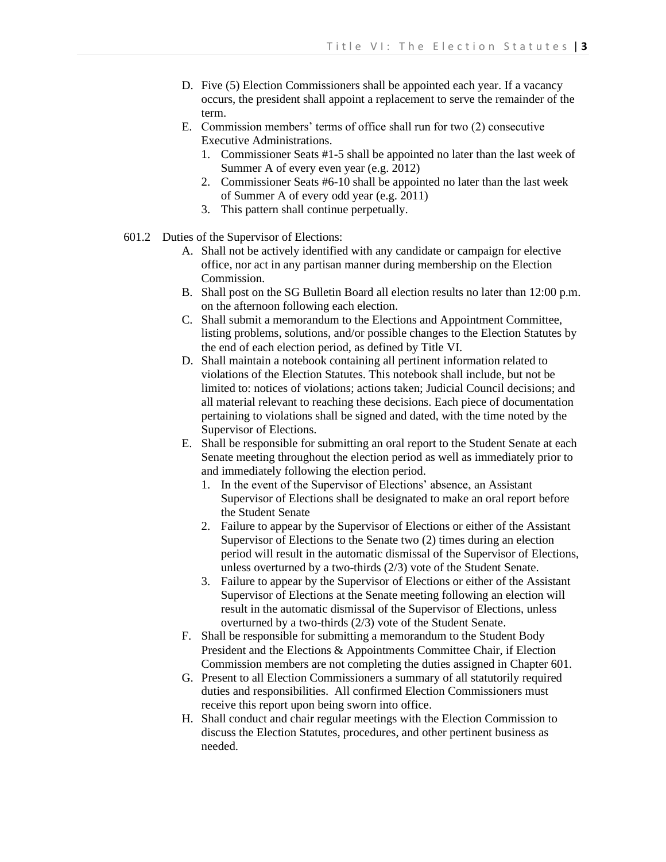- D. Five (5) Election Commissioners shall be appointed each year. If a vacancy occurs, the president shall appoint a replacement to serve the remainder of the term.
- E. Commission members' terms of office shall run for two (2) consecutive Executive Administrations.
	- 1. Commissioner Seats #1-5 shall be appointed no later than the last week of Summer A of every even year (e.g. 2012)
	- 2. Commissioner Seats #6-10 shall be appointed no later than the last week of Summer A of every odd year (e.g. 2011)
	- 3. This pattern shall continue perpetually.
- 601.2 Duties of the Supervisor of Elections:
	- A. Shall not be actively identified with any candidate or campaign for elective office, nor act in any partisan manner during membership on the Election Commission.
	- B. Shall post on the SG Bulletin Board all election results no later than 12:00 p.m. on the afternoon following each election.
	- C. Shall submit a memorandum to the Elections and Appointment Committee, listing problems, solutions, and/or possible changes to the Election Statutes by the end of each election period, as defined by Title VI.
	- D. Shall maintain a notebook containing all pertinent information related to violations of the Election Statutes. This notebook shall include, but not be limited to: notices of violations; actions taken; Judicial Council decisions; and all material relevant to reaching these decisions. Each piece of documentation pertaining to violations shall be signed and dated, with the time noted by the Supervisor of Elections.
	- E. Shall be responsible for submitting an oral report to the Student Senate at each Senate meeting throughout the election period as well as immediately prior to and immediately following the election period.
		- 1. In the event of the Supervisor of Elections' absence, an Assistant Supervisor of Elections shall be designated to make an oral report before the Student Senate
		- 2. Failure to appear by the Supervisor of Elections or either of the Assistant Supervisor of Elections to the Senate two (2) times during an election period will result in the automatic dismissal of the Supervisor of Elections, unless overturned by a two-thirds (2/3) vote of the Student Senate.
		- 3. Failure to appear by the Supervisor of Elections or either of the Assistant Supervisor of Elections at the Senate meeting following an election will result in the automatic dismissal of the Supervisor of Elections, unless overturned by a two-thirds (2/3) vote of the Student Senate.
	- F. Shall be responsible for submitting a memorandum to the Student Body President and the Elections & Appointments Committee Chair, if Election Commission members are not completing the duties assigned in Chapter 601.
	- G. Present to all Election Commissioners a summary of all statutorily required duties and responsibilities. All confirmed Election Commissioners must receive this report upon being sworn into office.
	- H. Shall conduct and chair regular meetings with the Election Commission to discuss the Election Statutes, procedures, and other pertinent business as needed.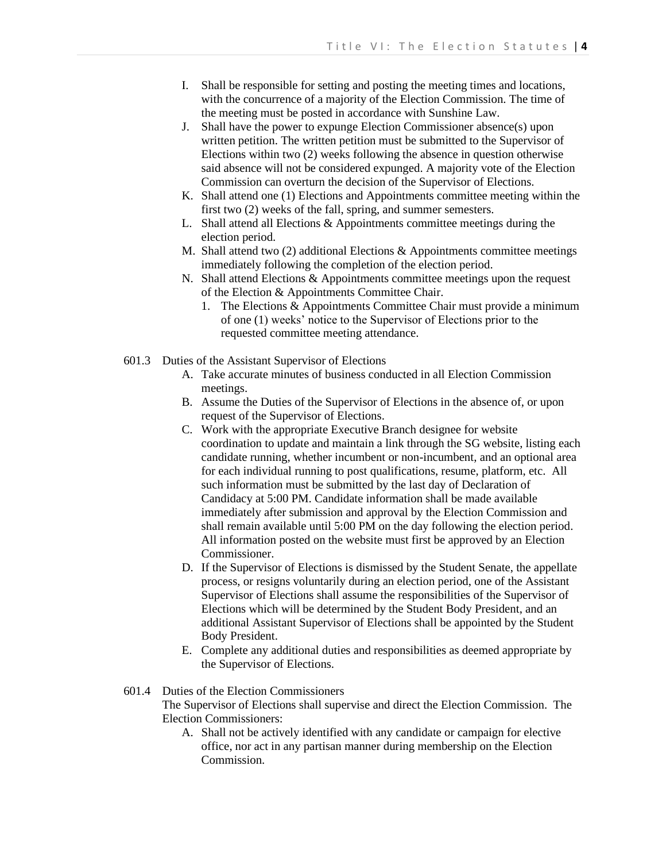- I. Shall be responsible for setting and posting the meeting times and locations, with the concurrence of a majority of the Election Commission. The time of the meeting must be posted in accordance with Sunshine Law.
- J. Shall have the power to expunge Election Commissioner absence(s) upon written petition. The written petition must be submitted to the Supervisor of Elections within two (2) weeks following the absence in question otherwise said absence will not be considered expunged. A majority vote of the Election Commission can overturn the decision of the Supervisor of Elections.
- K. Shall attend one (1) Elections and Appointments committee meeting within the first two (2) weeks of the fall, spring, and summer semesters.
- L. Shall attend all Elections & Appointments committee meetings during the election period.
- M. Shall attend two (2) additional Elections & Appointments committee meetings immediately following the completion of the election period.
- N. Shall attend Elections & Appointments committee meetings upon the request of the Election & Appointments Committee Chair.
	- 1. The Elections & Appointments Committee Chair must provide a minimum of one (1) weeks' notice to the Supervisor of Elections prior to the requested committee meeting attendance.
- 601.3 Duties of the Assistant Supervisor of Elections
	- A. Take accurate minutes of business conducted in all Election Commission meetings.
	- B. Assume the Duties of the Supervisor of Elections in the absence of, or upon request of the Supervisor of Elections.
	- C. Work with the appropriate Executive Branch designee for website coordination to update and maintain a link through the SG website, listing each candidate running, whether incumbent or non-incumbent, and an optional area for each individual running to post qualifications, resume, platform, etc. All such information must be submitted by the last day of Declaration of Candidacy at 5:00 PM. Candidate information shall be made available immediately after submission and approval by the Election Commission and shall remain available until 5:00 PM on the day following the election period. All information posted on the website must first be approved by an Election Commissioner.
	- D. If the Supervisor of Elections is dismissed by the Student Senate, the appellate process, or resigns voluntarily during an election period, one of the Assistant Supervisor of Elections shall assume the responsibilities of the Supervisor of Elections which will be determined by the Student Body President, and an additional Assistant Supervisor of Elections shall be appointed by the Student Body President.
	- E. Complete any additional duties and responsibilities as deemed appropriate by the Supervisor of Elections.
- 601.4 Duties of the Election Commissioners

The Supervisor of Elections shall supervise and direct the Election Commission. The Election Commissioners:

A. Shall not be actively identified with any candidate or campaign for elective office, nor act in any partisan manner during membership on the Election Commission.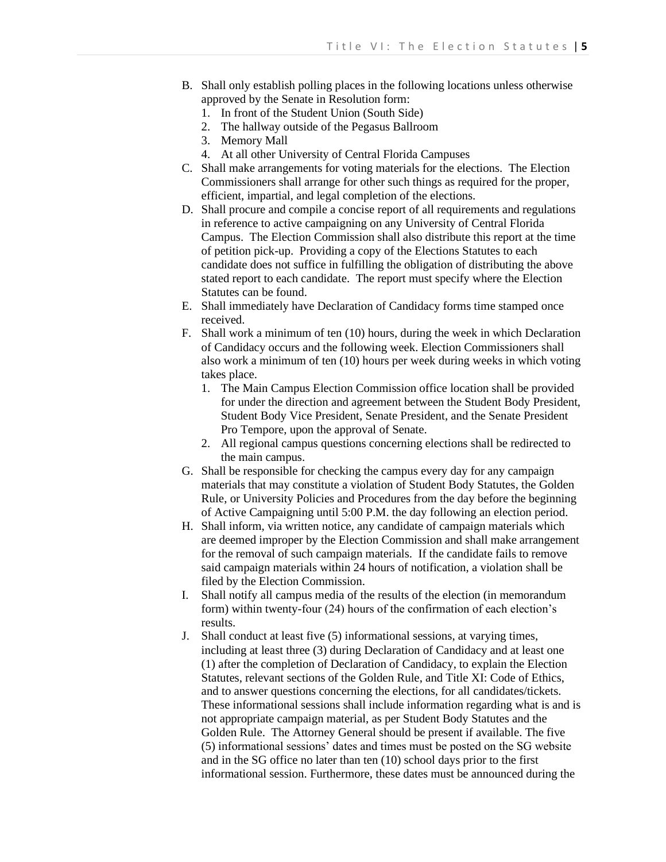- B. Shall only establish polling places in the following locations unless otherwise approved by the Senate in Resolution form:
	- 1. In front of the Student Union (South Side)
	- 2. The hallway outside of the Pegasus Ballroom
	- 3. Memory Mall
	- 4. At all other University of Central Florida Campuses
- C. Shall make arrangements for voting materials for the elections. The Election Commissioners shall arrange for other such things as required for the proper, efficient, impartial, and legal completion of the elections.
- D. Shall procure and compile a concise report of all requirements and regulations in reference to active campaigning on any University of Central Florida Campus. The Election Commission shall also distribute this report at the time of petition pick-up. Providing a copy of the Elections Statutes to each candidate does not suffice in fulfilling the obligation of distributing the above stated report to each candidate. The report must specify where the Election Statutes can be found.
- E. Shall immediately have Declaration of Candidacy forms time stamped once received.
- F. Shall work a minimum of ten (10) hours, during the week in which Declaration of Candidacy occurs and the following week. Election Commissioners shall also work a minimum of ten (10) hours per week during weeks in which voting takes place.
	- 1. The Main Campus Election Commission office location shall be provided for under the direction and agreement between the Student Body President, Student Body Vice President, Senate President, and the Senate President Pro Tempore, upon the approval of Senate.
	- 2. All regional campus questions concerning elections shall be redirected to the main campus.
- G. Shall be responsible for checking the campus every day for any campaign materials that may constitute a violation of Student Body Statutes, the Golden Rule, or University Policies and Procedures from the day before the beginning of Active Campaigning until 5:00 P.M. the day following an election period.
- H. Shall inform, via written notice, any candidate of campaign materials which are deemed improper by the Election Commission and shall make arrangement for the removal of such campaign materials. If the candidate fails to remove said campaign materials within 24 hours of notification, a violation shall be filed by the Election Commission.
- I. Shall notify all campus media of the results of the election (in memorandum form) within twenty-four (24) hours of the confirmation of each election's results.
- J. Shall conduct at least five (5) informational sessions, at varying times, including at least three (3) during Declaration of Candidacy and at least one (1) after the completion of Declaration of Candidacy, to explain the Election Statutes, relevant sections of the Golden Rule, and Title XI: Code of Ethics, and to answer questions concerning the elections, for all candidates/tickets. These informational sessions shall include information regarding what is and is not appropriate campaign material, as per Student Body Statutes and the Golden Rule. The Attorney General should be present if available. The five (5) informational sessions' dates and times must be posted on the SG website and in the SG office no later than ten (10) school days prior to the first informational session. Furthermore, these dates must be announced during the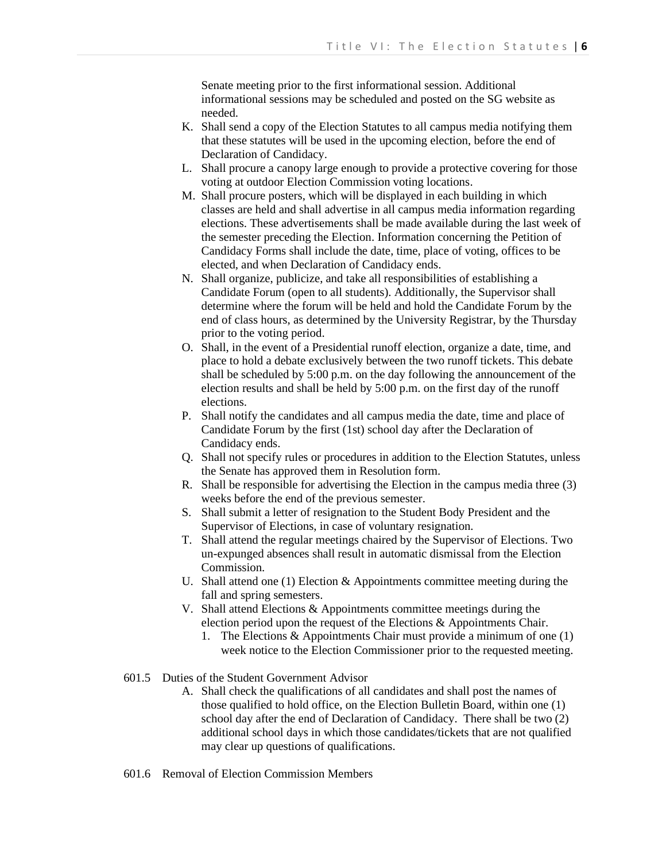Senate meeting prior to the first informational session. Additional informational sessions may be scheduled and posted on the SG website as needed.

- K. Shall send a copy of the Election Statutes to all campus media notifying them that these statutes will be used in the upcoming election, before the end of Declaration of Candidacy.
- L. Shall procure a canopy large enough to provide a protective covering for those voting at outdoor Election Commission voting locations.
- M. Shall procure posters, which will be displayed in each building in which classes are held and shall advertise in all campus media information regarding elections. These advertisements shall be made available during the last week of the semester preceding the Election. Information concerning the Petition of Candidacy Forms shall include the date, time, place of voting, offices to be elected, and when Declaration of Candidacy ends.
- N. Shall organize, publicize, and take all responsibilities of establishing a Candidate Forum (open to all students). Additionally, the Supervisor shall determine where the forum will be held and hold the Candidate Forum by the end of class hours, as determined by the University Registrar, by the Thursday prior to the voting period.
- O. Shall, in the event of a Presidential runoff election, organize a date, time, and place to hold a debate exclusively between the two runoff tickets. This debate shall be scheduled by 5:00 p.m. on the day following the announcement of the election results and shall be held by 5:00 p.m. on the first day of the runoff elections.
- P. Shall notify the candidates and all campus media the date, time and place of Candidate Forum by the first (1st) school day after the Declaration of Candidacy ends.
- Q. Shall not specify rules or procedures in addition to the Election Statutes, unless the Senate has approved them in Resolution form.
- R. Shall be responsible for advertising the Election in the campus media three (3) weeks before the end of the previous semester.
- S. Shall submit a letter of resignation to the Student Body President and the Supervisor of Elections, in case of voluntary resignation.
- T. Shall attend the regular meetings chaired by the Supervisor of Elections. Two un-expunged absences shall result in automatic dismissal from the Election Commission.
- U. Shall attend one (1) Election & Appointments committee meeting during the fall and spring semesters.
- V. Shall attend Elections & Appointments committee meetings during the election period upon the request of the Elections & Appointments Chair.
	- 1. The Elections & Appointments Chair must provide a minimum of one (1) week notice to the Election Commissioner prior to the requested meeting.
- 601.5 Duties of the Student Government Advisor
	- A. Shall check the qualifications of all candidates and shall post the names of those qualified to hold office, on the Election Bulletin Board, within one (1) school day after the end of Declaration of Candidacy. There shall be two (2) additional school days in which those candidates/tickets that are not qualified may clear up questions of qualifications.
- 601.6 Removal of Election Commission Members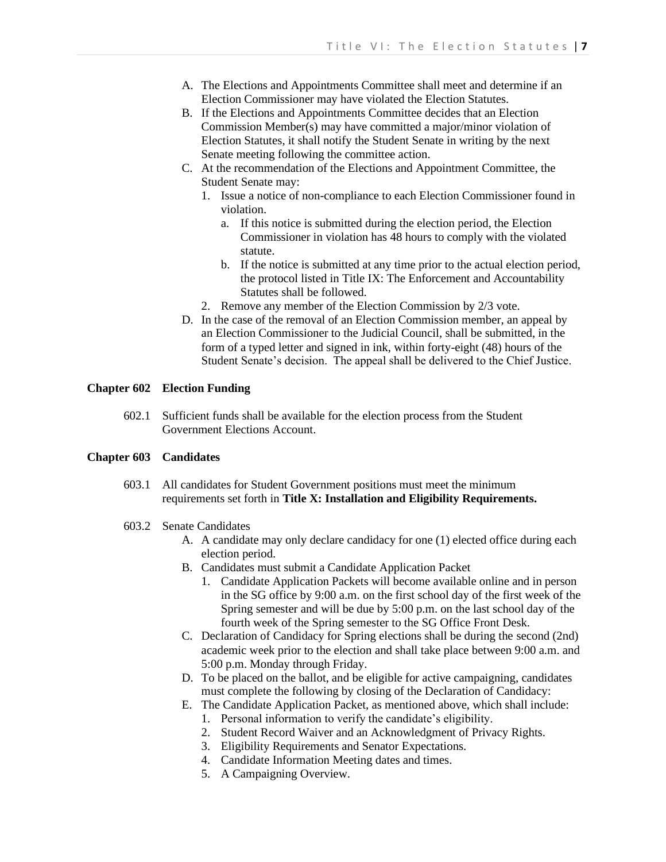- A. The Elections and Appointments Committee shall meet and determine if an Election Commissioner may have violated the Election Statutes.
- B. If the Elections and Appointments Committee decides that an Election Commission Member(s) may have committed a major/minor violation of Election Statutes, it shall notify the Student Senate in writing by the next Senate meeting following the committee action.
- C. At the recommendation of the Elections and Appointment Committee, the Student Senate may:
	- 1. Issue a notice of non-compliance to each Election Commissioner found in violation.
		- a. If this notice is submitted during the election period, the Election Commissioner in violation has 48 hours to comply with the violated statute.
		- b. If the notice is submitted at any time prior to the actual election period, the protocol listed in Title IX: The Enforcement and Accountability Statutes shall be followed.
	- 2. Remove any member of the Election Commission by 2/3 vote.
- D. In the case of the removal of an Election Commission member, an appeal by an Election Commissioner to the Judicial Council, shall be submitted, in the form of a typed letter and signed in ink, within forty-eight (48) hours of the Student Senate's decision. The appeal shall be delivered to the Chief Justice.

# **Chapter 602 Election Funding**

602.1 Sufficient funds shall be available for the election process from the Student Government Elections Account.

## **Chapter 603 Candidates**

603.1 All candidates for Student Government positions must meet the minimum requirements set forth in **Title X: Installation and Eligibility Requirements.**

#### 603.2 Senate Candidates

- A. A candidate may only declare candidacy for one (1) elected office during each election period.
- B. Candidates must submit a Candidate Application Packet
	- 1. Candidate Application Packets will become available online and in person in the SG office by 9:00 a.m. on the first school day of the first week of the Spring semester and will be due by 5:00 p.m. on the last school day of the fourth week of the Spring semester to the SG Office Front Desk.
- C. Declaration of Candidacy for Spring elections shall be during the second (2nd) academic week prior to the election and shall take place between 9:00 a.m. and 5:00 p.m. Monday through Friday.
- D. To be placed on the ballot, and be eligible for active campaigning, candidates must complete the following by closing of the Declaration of Candidacy:
- E. The Candidate Application Packet, as mentioned above, which shall include:
	- 1. Personal information to verify the candidate's eligibility.
	- 2. Student Record Waiver and an Acknowledgment of Privacy Rights.
	- 3. Eligibility Requirements and Senator Expectations.
	- 4. Candidate Information Meeting dates and times.
	- 5. A Campaigning Overview.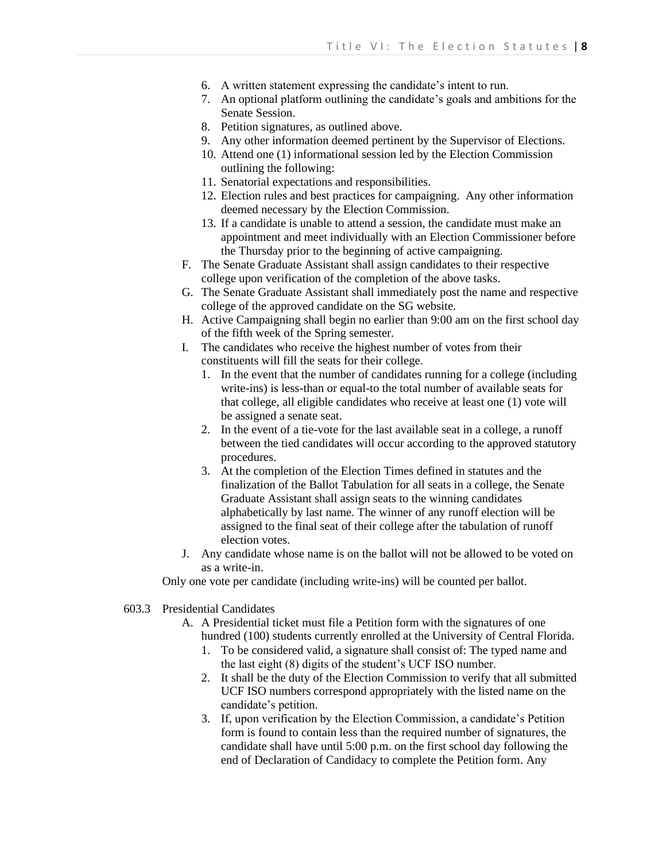- 6. A written statement expressing the candidate's intent to run.
- 7. An optional platform outlining the candidate's goals and ambitions for the Senate Session.
- 8. Petition signatures, as outlined above.
- 9. Any other information deemed pertinent by the Supervisor of Elections.
- 10. Attend one (1) informational session led by the Election Commission outlining the following:
- 11. Senatorial expectations and responsibilities.
- 12. Election rules and best practices for campaigning. Any other information deemed necessary by the Election Commission.
- 13. If a candidate is unable to attend a session, the candidate must make an appointment and meet individually with an Election Commissioner before the Thursday prior to the beginning of active campaigning.
- F. The Senate Graduate Assistant shall assign candidates to their respective college upon verification of the completion of the above tasks.
- G. The Senate Graduate Assistant shall immediately post the name and respective college of the approved candidate on the SG website.
- H. Active Campaigning shall begin no earlier than 9:00 am on the first school day of the fifth week of the Spring semester.
- I. The candidates who receive the highest number of votes from their constituents will fill the seats for their college.
	- 1. In the event that the number of candidates running for a college (including write-ins) is less-than or equal-to the total number of available seats for that college, all eligible candidates who receive at least one (1) vote will be assigned a senate seat.
	- 2. In the event of a tie-vote for the last available seat in a college, a runoff between the tied candidates will occur according to the approved statutory procedures.
	- 3. At the completion of the Election Times defined in statutes and the finalization of the Ballot Tabulation for all seats in a college, the Senate Graduate Assistant shall assign seats to the winning candidates alphabetically by last name. The winner of any runoff election will be assigned to the final seat of their college after the tabulation of runoff election votes.
- J. Any candidate whose name is on the ballot will not be allowed to be voted on as a write-in.

Only one vote per candidate (including write-ins) will be counted per ballot.

- 603.3 Presidential Candidates
	- A. A Presidential ticket must file a Petition form with the signatures of one hundred (100) students currently enrolled at the University of Central Florida.
		- 1. To be considered valid, a signature shall consist of: The typed name and the last eight (8) digits of the student's UCF ISO number.
		- 2. It shall be the duty of the Election Commission to verify that all submitted UCF ISO numbers correspond appropriately with the listed name on the candidate's petition.
		- 3. If, upon verification by the Election Commission, a candidate's Petition form is found to contain less than the required number of signatures, the candidate shall have until 5:00 p.m. on the first school day following the end of Declaration of Candidacy to complete the Petition form. Any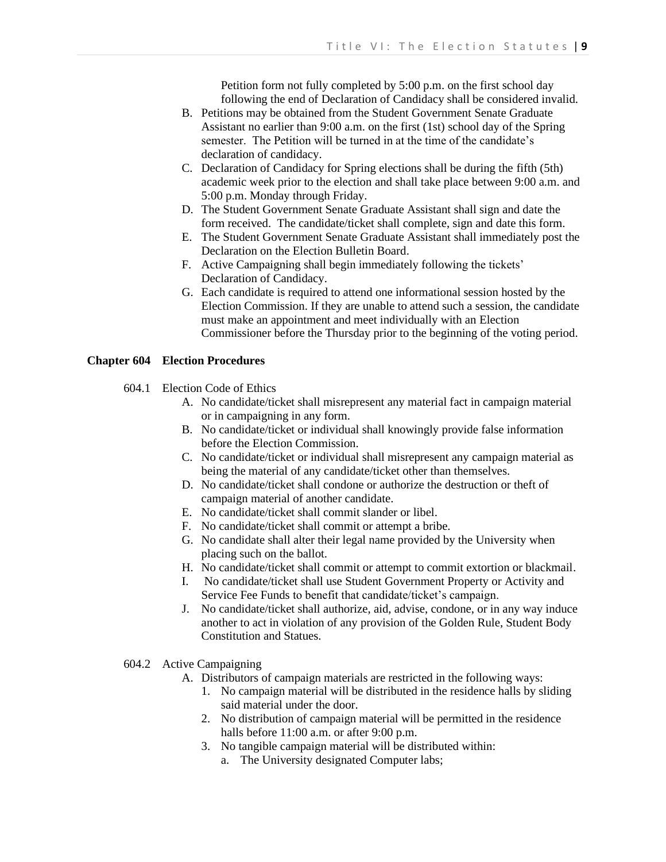Petition form not fully completed by 5:00 p.m. on the first school day following the end of Declaration of Candidacy shall be considered invalid.

- B. Petitions may be obtained from the Student Government Senate Graduate Assistant no earlier than 9:00 a.m. on the first (1st) school day of the Spring semester. The Petition will be turned in at the time of the candidate's declaration of candidacy.
- C. Declaration of Candidacy for Spring elections shall be during the fifth (5th) academic week prior to the election and shall take place between 9:00 a.m. and 5:00 p.m. Monday through Friday.
- D. The Student Government Senate Graduate Assistant shall sign and date the form received. The candidate/ticket shall complete, sign and date this form.
- E. The Student Government Senate Graduate Assistant shall immediately post the Declaration on the Election Bulletin Board.
- F. Active Campaigning shall begin immediately following the tickets' Declaration of Candidacy.
- G. Each candidate is required to attend one informational session hosted by the Election Commission. If they are unable to attend such a session, the candidate must make an appointment and meet individually with an Election Commissioner before the Thursday prior to the beginning of the voting period.

# **Chapter 604 Election Procedures**

- 604.1 Election Code of Ethics
	- A. No candidate/ticket shall misrepresent any material fact in campaign material or in campaigning in any form.
	- B. No candidate/ticket or individual shall knowingly provide false information before the Election Commission.
	- C. No candidate/ticket or individual shall misrepresent any campaign material as being the material of any candidate/ticket other than themselves.
	- D. No candidate/ticket shall condone or authorize the destruction or theft of campaign material of another candidate.
	- E. No candidate/ticket shall commit slander or libel.
	- F. No candidate/ticket shall commit or attempt a bribe.
	- G. No candidate shall alter their legal name provided by the University when placing such on the ballot.
	- H. No candidate/ticket shall commit or attempt to commit extortion or blackmail.
	- I. No candidate/ticket shall use Student Government Property or Activity and Service Fee Funds to benefit that candidate/ticket's campaign.
	- J. No candidate/ticket shall authorize, aid, advise, condone, or in any way induce another to act in violation of any provision of the Golden Rule, Student Body Constitution and Statues.
- 604.2 Active Campaigning
	- A. Distributors of campaign materials are restricted in the following ways:
		- 1. No campaign material will be distributed in the residence halls by sliding said material under the door.
		- 2. No distribution of campaign material will be permitted in the residence halls before 11:00 a.m. or after 9:00 p.m.
		- 3. No tangible campaign material will be distributed within:
			- a. The University designated Computer labs;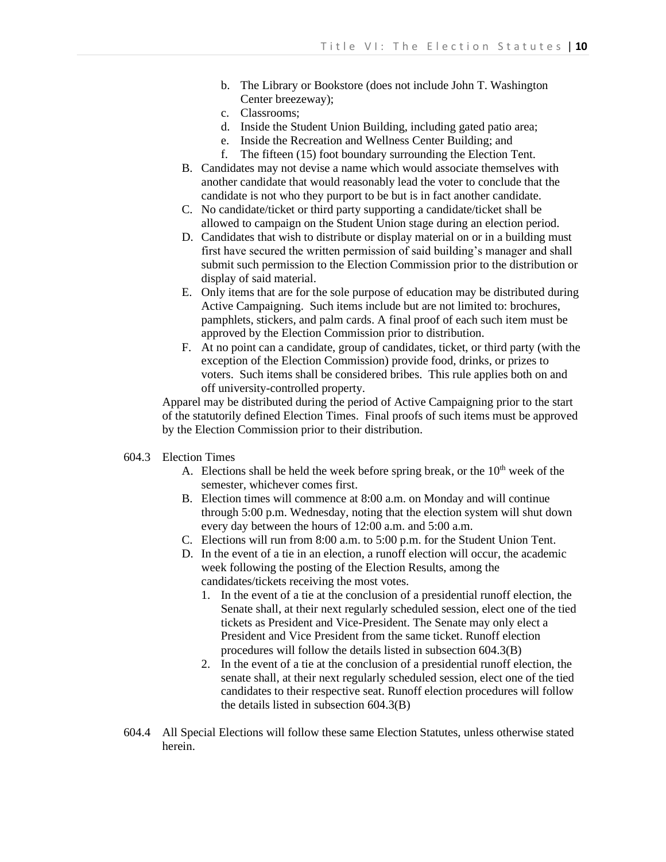- b. The Library or Bookstore (does not include John T. Washington Center breezeway);
- c. Classrooms;
- d. Inside the Student Union Building, including gated patio area;
- e. Inside the Recreation and Wellness Center Building; and
- f. The fifteen (15) foot boundary surrounding the Election Tent.
- B. Candidates may not devise a name which would associate themselves with another candidate that would reasonably lead the voter to conclude that the candidate is not who they purport to be but is in fact another candidate.
- C. No candidate/ticket or third party supporting a candidate/ticket shall be allowed to campaign on the Student Union stage during an election period.
- D. Candidates that wish to distribute or display material on or in a building must first have secured the written permission of said building's manager and shall submit such permission to the Election Commission prior to the distribution or display of said material.
- E. Only items that are for the sole purpose of education may be distributed during Active Campaigning. Such items include but are not limited to: brochures, pamphlets, stickers, and palm cards. A final proof of each such item must be approved by the Election Commission prior to distribution.
- F. At no point can a candidate, group of candidates, ticket, or third party (with the exception of the Election Commission) provide food, drinks, or prizes to voters. Such items shall be considered bribes. This rule applies both on and off university-controlled property.

Apparel may be distributed during the period of Active Campaigning prior to the start of the statutorily defined Election Times. Final proofs of such items must be approved by the Election Commission prior to their distribution.

- 604.3 Election Times
	- A. Elections shall be held the week before spring break, or the  $10<sup>th</sup>$  week of the semester, whichever comes first.
	- B. Election times will commence at 8:00 a.m. on Monday and will continue through 5:00 p.m. Wednesday, noting that the election system will shut down every day between the hours of 12:00 a.m. and 5:00 a.m.
	- C. Elections will run from 8:00 a.m. to 5:00 p.m. for the Student Union Tent.
	- D. In the event of a tie in an election, a runoff election will occur, the academic week following the posting of the Election Results, among the candidates/tickets receiving the most votes.
		- 1. In the event of a tie at the conclusion of a presidential runoff election, the Senate shall, at their next regularly scheduled session, elect one of the tied tickets as President and Vice-President. The Senate may only elect a President and Vice President from the same ticket. Runoff election procedures will follow the details listed in subsection 604.3(B)
		- 2. In the event of a tie at the conclusion of a presidential runoff election, the senate shall, at their next regularly scheduled session, elect one of the tied candidates to their respective seat. Runoff election procedures will follow the details listed in subsection 604.3(B)
- 604.4 All Special Elections will follow these same Election Statutes, unless otherwise stated herein.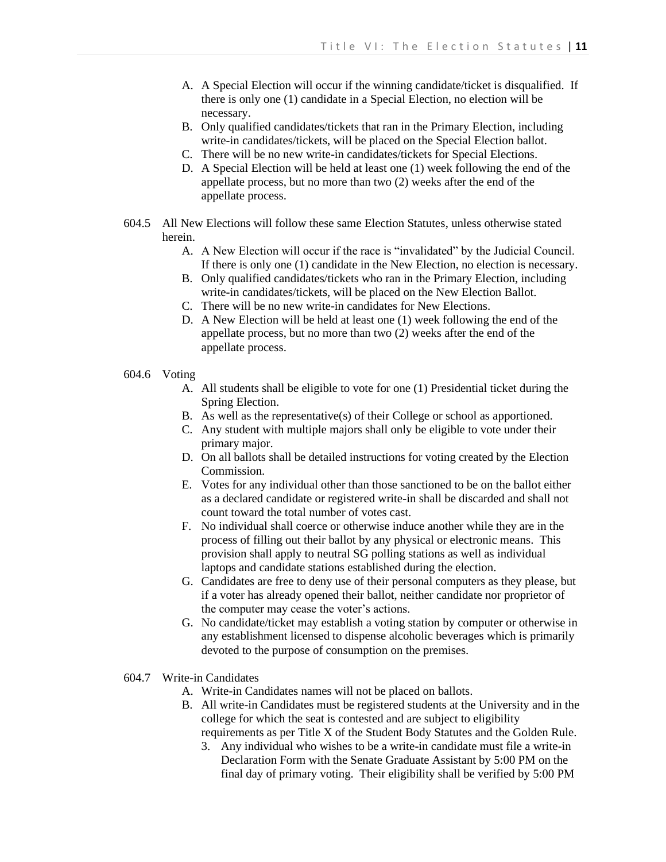- A. A Special Election will occur if the winning candidate/ticket is disqualified. If there is only one (1) candidate in a Special Election, no election will be necessary.
- B. Only qualified candidates/tickets that ran in the Primary Election, including write-in candidates/tickets, will be placed on the Special Election ballot.
- C. There will be no new write-in candidates/tickets for Special Elections.
- D. A Special Election will be held at least one (1) week following the end of the appellate process, but no more than two (2) weeks after the end of the appellate process.
- 604.5 All New Elections will follow these same Election Statutes, unless otherwise stated herein.
	- A. A New Election will occur if the race is "invalidated" by the Judicial Council. If there is only one (1) candidate in the New Election, no election is necessary.
	- B. Only qualified candidates/tickets who ran in the Primary Election, including write-in candidates/tickets, will be placed on the New Election Ballot.
	- C. There will be no new write-in candidates for New Elections.
	- D. A New Election will be held at least one (1) week following the end of the appellate process, but no more than two (2) weeks after the end of the appellate process.
- 604.6 Voting
	- A. All students shall be eligible to vote for one (1) Presidential ticket during the Spring Election.
	- B. As well as the representative(s) of their College or school as apportioned.
	- C. Any student with multiple majors shall only be eligible to vote under their primary major.
	- D. On all ballots shall be detailed instructions for voting created by the Election Commission.
	- E. Votes for any individual other than those sanctioned to be on the ballot either as a declared candidate or registered write-in shall be discarded and shall not count toward the total number of votes cast.
	- F. No individual shall coerce or otherwise induce another while they are in the process of filling out their ballot by any physical or electronic means. This provision shall apply to neutral SG polling stations as well as individual laptops and candidate stations established during the election.
	- G. Candidates are free to deny use of their personal computers as they please, but if a voter has already opened their ballot, neither candidate nor proprietor of the computer may cease the voter's actions.
	- G. No candidate/ticket may establish a voting station by computer or otherwise in any establishment licensed to dispense alcoholic beverages which is primarily devoted to the purpose of consumption on the premises.
- 604.7 Write-in Candidates
	- A. Write-in Candidates names will not be placed on ballots.
	- B. All write-in Candidates must be registered students at the University and in the college for which the seat is contested and are subject to eligibility requirements as per Title X of the Student Body Statutes and the Golden Rule.
		- 3. Any individual who wishes to be a write-in candidate must file a write-in Declaration Form with the Senate Graduate Assistant by 5:00 PM on the final day of primary voting. Their eligibility shall be verified by 5:00 PM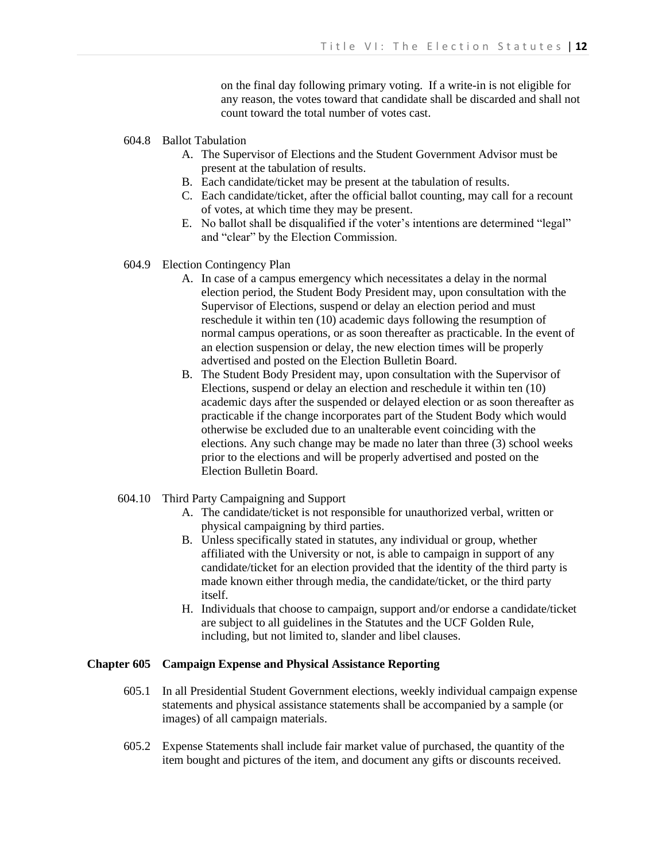on the final day following primary voting. If a write-in is not eligible for any reason, the votes toward that candidate shall be discarded and shall not count toward the total number of votes cast.

- 604.8 Ballot Tabulation
	- A. The Supervisor of Elections and the Student Government Advisor must be present at the tabulation of results.
	- B. Each candidate/ticket may be present at the tabulation of results.
	- C. Each candidate/ticket, after the official ballot counting, may call for a recount of votes, at which time they may be present.
	- E. No ballot shall be disqualified if the voter's intentions are determined "legal" and "clear" by the Election Commission.
- 604.9 Election Contingency Plan
	- A. In case of a campus emergency which necessitates a delay in the normal election period, the Student Body President may, upon consultation with the Supervisor of Elections, suspend or delay an election period and must reschedule it within ten (10) academic days following the resumption of normal campus operations, or as soon thereafter as practicable. In the event of an election suspension or delay, the new election times will be properly advertised and posted on the Election Bulletin Board.
	- B. The Student Body President may, upon consultation with the Supervisor of Elections, suspend or delay an election and reschedule it within ten (10) academic days after the suspended or delayed election or as soon thereafter as practicable if the change incorporates part of the Student Body which would otherwise be excluded due to an unalterable event coinciding with the elections. Any such change may be made no later than three (3) school weeks prior to the elections and will be properly advertised and posted on the Election Bulletin Board.
- 604.10 Third Party Campaigning and Support
	- A. The candidate/ticket is not responsible for unauthorized verbal, written or physical campaigning by third parties.
	- B. Unless specifically stated in statutes, any individual or group, whether affiliated with the University or not, is able to campaign in support of any candidate/ticket for an election provided that the identity of the third party is made known either through media, the candidate/ticket, or the third party itself.
	- H. Individuals that choose to campaign, support and/or endorse a candidate/ticket are subject to all guidelines in the Statutes and the UCF Golden Rule, including, but not limited to, slander and libel clauses.

# **Chapter 605 Campaign Expense and Physical Assistance Reporting**

- 605.1 In all Presidential Student Government elections, weekly individual campaign expense statements and physical assistance statements shall be accompanied by a sample (or images) of all campaign materials.
- 605.2 Expense Statements shall include fair market value of purchased, the quantity of the item bought and pictures of the item, and document any gifts or discounts received.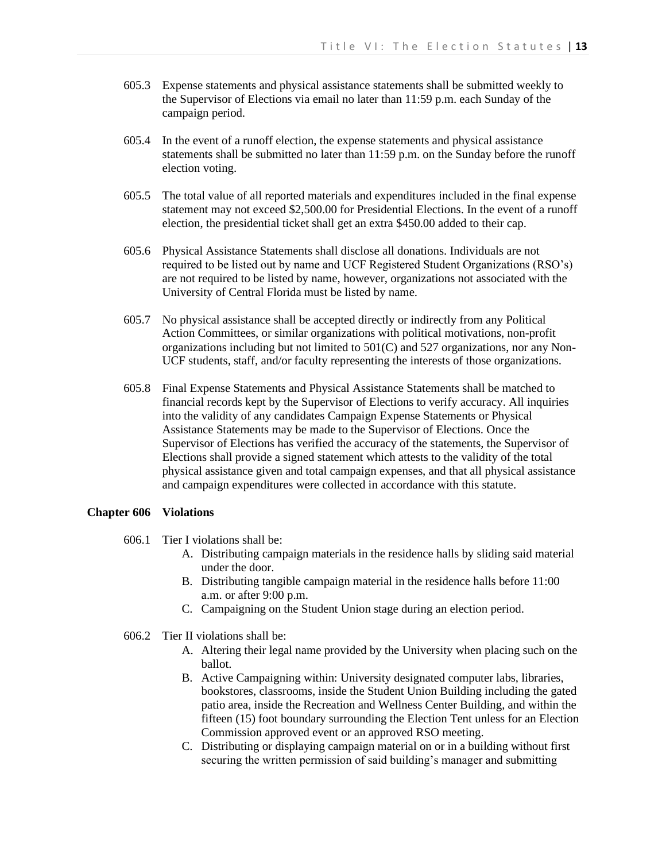- 605.3 Expense statements and physical assistance statements shall be submitted weekly to the Supervisor of Elections via email no later than 11:59 p.m. each Sunday of the campaign period.
- 605.4 In the event of a runoff election, the expense statements and physical assistance statements shall be submitted no later than 11:59 p.m. on the Sunday before the runoff election voting.
- 605.5 The total value of all reported materials and expenditures included in the final expense statement may not exceed \$2,500.00 for Presidential Elections. In the event of a runoff election, the presidential ticket shall get an extra \$450.00 added to their cap.
- 605.6 Physical Assistance Statements shall disclose all donations. Individuals are not required to be listed out by name and UCF Registered Student Organizations (RSO's) are not required to be listed by name, however, organizations not associated with the University of Central Florida must be listed by name.
- 605.7 No physical assistance shall be accepted directly or indirectly from any Political Action Committees, or similar organizations with political motivations, non-profit organizations including but not limited to 501(C) and 527 organizations, nor any Non-UCF students, staff, and/or faculty representing the interests of those organizations.
- 605.8 Final Expense Statements and Physical Assistance Statements shall be matched to financial records kept by the Supervisor of Elections to verify accuracy. All inquiries into the validity of any candidates Campaign Expense Statements or Physical Assistance Statements may be made to the Supervisor of Elections. Once the Supervisor of Elections has verified the accuracy of the statements, the Supervisor of Elections shall provide a signed statement which attests to the validity of the total physical assistance given and total campaign expenses, and that all physical assistance and campaign expenditures were collected in accordance with this statute.

#### **Chapter 606 Violations**

- 606.1 Tier I violations shall be:
	- A. Distributing campaign materials in the residence halls by sliding said material under the door.
	- B. Distributing tangible campaign material in the residence halls before 11:00 a.m. or after 9:00 p.m.
	- C. Campaigning on the Student Union stage during an election period.
- 606.2 Tier II violations shall be:
	- A. Altering their legal name provided by the University when placing such on the ballot.
	- B. Active Campaigning within: University designated computer labs, libraries, bookstores, classrooms, inside the Student Union Building including the gated patio area, inside the Recreation and Wellness Center Building, and within the fifteen (15) foot boundary surrounding the Election Tent unless for an Election Commission approved event or an approved RSO meeting.
	- C. Distributing or displaying campaign material on or in a building without first securing the written permission of said building's manager and submitting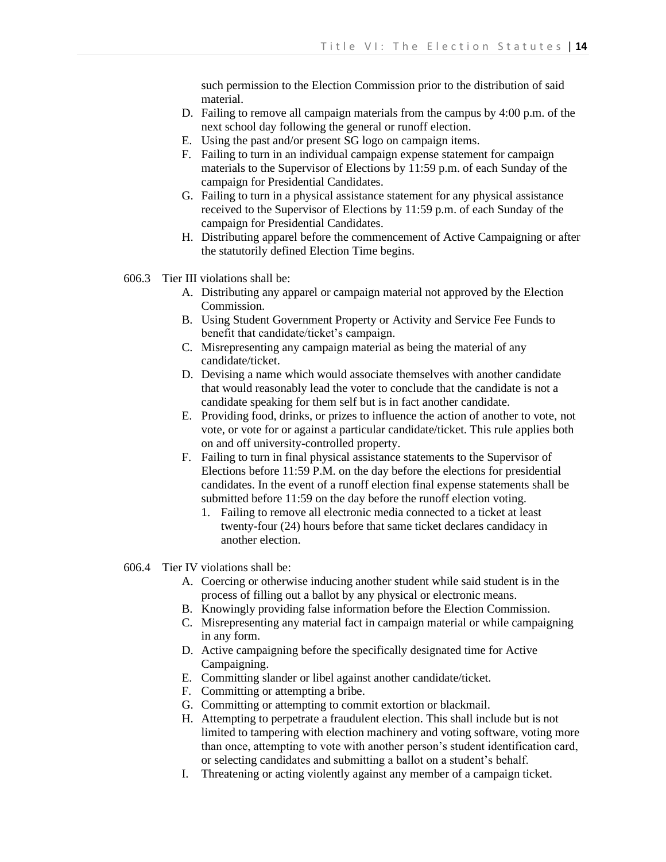such permission to the Election Commission prior to the distribution of said material.

- D. Failing to remove all campaign materials from the campus by 4:00 p.m. of the next school day following the general or runoff election.
- E. Using the past and/or present SG logo on campaign items.
- F. Failing to turn in an individual campaign expense statement for campaign materials to the Supervisor of Elections by 11:59 p.m. of each Sunday of the campaign for Presidential Candidates.
- G. Failing to turn in a physical assistance statement for any physical assistance received to the Supervisor of Elections by 11:59 p.m. of each Sunday of the campaign for Presidential Candidates.
- H. Distributing apparel before the commencement of Active Campaigning or after the statutorily defined Election Time begins.
- 606.3 Tier III violations shall be:
	- A. Distributing any apparel or campaign material not approved by the Election Commission.
	- B. Using Student Government Property or Activity and Service Fee Funds to benefit that candidate/ticket's campaign.
	- C. Misrepresenting any campaign material as being the material of any candidate/ticket.
	- D. Devising a name which would associate themselves with another candidate that would reasonably lead the voter to conclude that the candidate is not a candidate speaking for them self but is in fact another candidate.
	- E. Providing food, drinks, or prizes to influence the action of another to vote, not vote, or vote for or against a particular candidate/ticket. This rule applies both on and off university-controlled property.
	- F. Failing to turn in final physical assistance statements to the Supervisor of Elections before 11:59 P.M. on the day before the elections for presidential candidates. In the event of a runoff election final expense statements shall be submitted before 11:59 on the day before the runoff election voting.
		- 1. Failing to remove all electronic media connected to a ticket at least twenty-four (24) hours before that same ticket declares candidacy in another election.
- 606.4 Tier IV violations shall be:
	- A. Coercing or otherwise inducing another student while said student is in the process of filling out a ballot by any physical or electronic means.
	- B. Knowingly providing false information before the Election Commission.
	- C. Misrepresenting any material fact in campaign material or while campaigning in any form.
	- D. Active campaigning before the specifically designated time for Active Campaigning.
	- E. Committing slander or libel against another candidate/ticket.
	- F. Committing or attempting a bribe.
	- G. Committing or attempting to commit extortion or blackmail.
	- H. Attempting to perpetrate a fraudulent election. This shall include but is not limited to tampering with election machinery and voting software, voting more than once, attempting to vote with another person's student identification card, or selecting candidates and submitting a ballot on a student's behalf.
	- I. Threatening or acting violently against any member of a campaign ticket.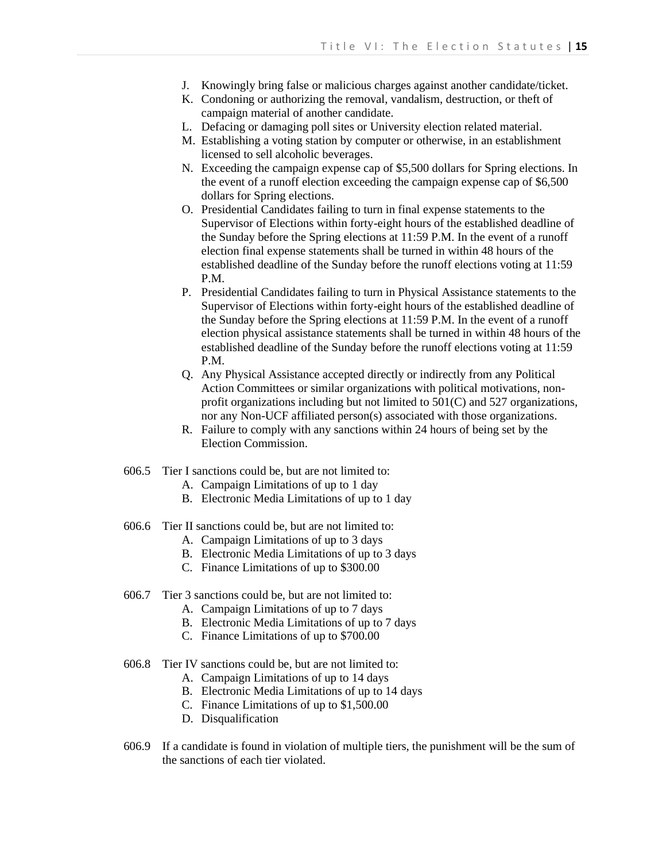- J. Knowingly bring false or malicious charges against another candidate/ticket.
- K. Condoning or authorizing the removal, vandalism, destruction, or theft of campaign material of another candidate.
- L. Defacing or damaging poll sites or University election related material.
- M. Establishing a voting station by computer or otherwise, in an establishment licensed to sell alcoholic beverages.
- N. Exceeding the campaign expense cap of \$5,500 dollars for Spring elections. In the event of a runoff election exceeding the campaign expense cap of \$6,500 dollars for Spring elections.
- O. Presidential Candidates failing to turn in final expense statements to the Supervisor of Elections within forty-eight hours of the established deadline of the Sunday before the Spring elections at 11:59 P.M. In the event of a runoff election final expense statements shall be turned in within 48 hours of the established deadline of the Sunday before the runoff elections voting at 11:59 P.M.
- P. Presidential Candidates failing to turn in Physical Assistance statements to the Supervisor of Elections within forty-eight hours of the established deadline of the Sunday before the Spring elections at 11:59 P.M. In the event of a runoff election physical assistance statements shall be turned in within 48 hours of the established deadline of the Sunday before the runoff elections voting at 11:59 P.M.
- Q. Any Physical Assistance accepted directly or indirectly from any Political Action Committees or similar organizations with political motivations, nonprofit organizations including but not limited to 501(C) and 527 organizations, nor any Non-UCF affiliated person(s) associated with those organizations.
- R. Failure to comply with any sanctions within 24 hours of being set by the Election Commission.
- 606.5 Tier I sanctions could be, but are not limited to:
	- A. Campaign Limitations of up to 1 day
	- B. Electronic Media Limitations of up to 1 day
- 606.6 Tier II sanctions could be, but are not limited to:
	- A. Campaign Limitations of up to 3 days
	- B. Electronic Media Limitations of up to 3 days
	- C. Finance Limitations of up to \$300.00
- 606.7 Tier 3 sanctions could be, but are not limited to:
	- A. Campaign Limitations of up to 7 days
	- B. Electronic Media Limitations of up to 7 days
	- C. Finance Limitations of up to \$700.00
- 606.8 Tier IV sanctions could be, but are not limited to:
	- A. Campaign Limitations of up to 14 days
	- B. Electronic Media Limitations of up to 14 days
	- C. Finance Limitations of up to \$1,500.00
	- D. Disqualification
- 606.9 If a candidate is found in violation of multiple tiers, the punishment will be the sum of the sanctions of each tier violated.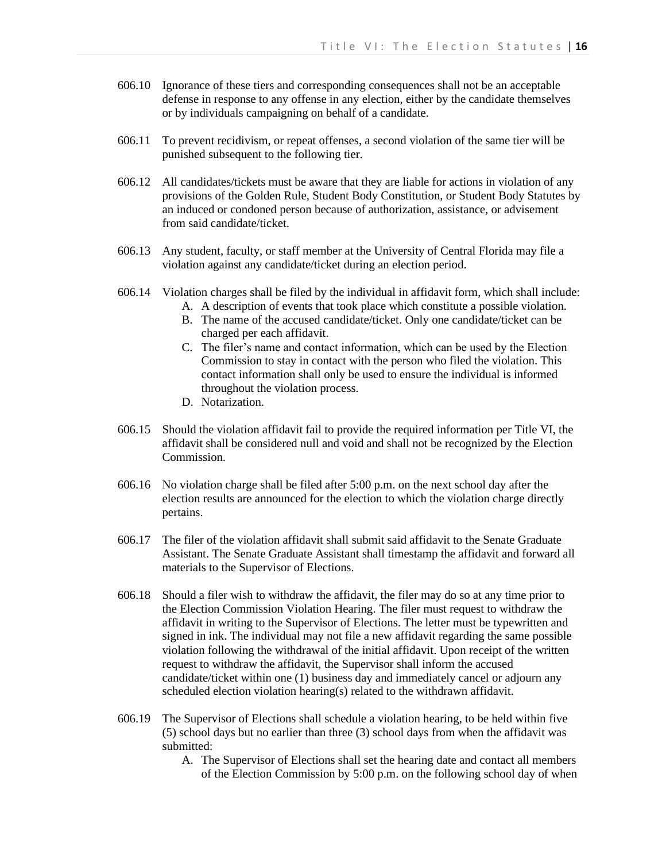- 606.10 Ignorance of these tiers and corresponding consequences shall not be an acceptable defense in response to any offense in any election, either by the candidate themselves or by individuals campaigning on behalf of a candidate.
- 606.11 To prevent recidivism, or repeat offenses, a second violation of the same tier will be punished subsequent to the following tier.
- 606.12 All candidates/tickets must be aware that they are liable for actions in violation of any provisions of the Golden Rule, Student Body Constitution, or Student Body Statutes by an induced or condoned person because of authorization, assistance, or advisement from said candidate/ticket.
- 606.13 Any student, faculty, or staff member at the University of Central Florida may file a violation against any candidate/ticket during an election period.
- 606.14 Violation charges shall be filed by the individual in affidavit form, which shall include:
	- A. A description of events that took place which constitute a possible violation.
	- B. The name of the accused candidate/ticket. Only one candidate/ticket can be charged per each affidavit.
	- C. The filer's name and contact information, which can be used by the Election Commission to stay in contact with the person who filed the violation. This contact information shall only be used to ensure the individual is informed throughout the violation process.
	- D. Notarization.
- 606.15 Should the violation affidavit fail to provide the required information per Title VI, the affidavit shall be considered null and void and shall not be recognized by the Election Commission.
- 606.16 No violation charge shall be filed after 5:00 p.m. on the next school day after the election results are announced for the election to which the violation charge directly pertains.
- 606.17 The filer of the violation affidavit shall submit said affidavit to the Senate Graduate Assistant. The Senate Graduate Assistant shall timestamp the affidavit and forward all materials to the Supervisor of Elections.
- 606.18 Should a filer wish to withdraw the affidavit, the filer may do so at any time prior to the Election Commission Violation Hearing. The filer must request to withdraw the affidavit in writing to the Supervisor of Elections. The letter must be typewritten and signed in ink. The individual may not file a new affidavit regarding the same possible violation following the withdrawal of the initial affidavit. Upon receipt of the written request to withdraw the affidavit, the Supervisor shall inform the accused candidate/ticket within one (1) business day and immediately cancel or adjourn any scheduled election violation hearing(s) related to the withdrawn affidavit.
- 606.19 The Supervisor of Elections shall schedule a violation hearing, to be held within five (5) school days but no earlier than three (3) school days from when the affidavit was submitted:
	- A. The Supervisor of Elections shall set the hearing date and contact all members of the Election Commission by 5:00 p.m. on the following school day of when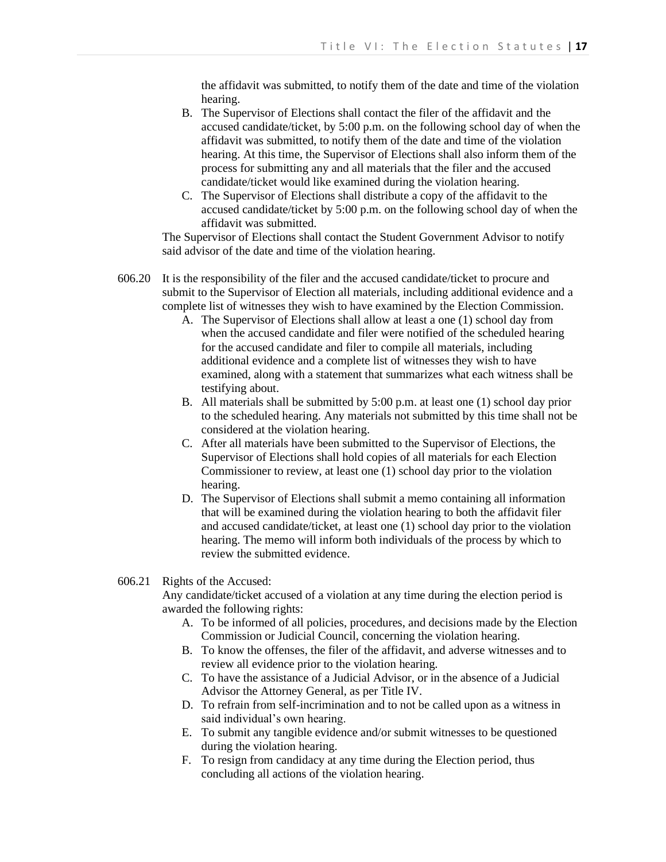the affidavit was submitted, to notify them of the date and time of the violation hearing.

- B. The Supervisor of Elections shall contact the filer of the affidavit and the accused candidate/ticket, by 5:00 p.m. on the following school day of when the affidavit was submitted, to notify them of the date and time of the violation hearing. At this time, the Supervisor of Elections shall also inform them of the process for submitting any and all materials that the filer and the accused candidate/ticket would like examined during the violation hearing.
- C. The Supervisor of Elections shall distribute a copy of the affidavit to the accused candidate/ticket by 5:00 p.m. on the following school day of when the affidavit was submitted.

The Supervisor of Elections shall contact the Student Government Advisor to notify said advisor of the date and time of the violation hearing.

- 606.20 It is the responsibility of the filer and the accused candidate/ticket to procure and submit to the Supervisor of Election all materials, including additional evidence and a complete list of witnesses they wish to have examined by the Election Commission.
	- A. The Supervisor of Elections shall allow at least a one (1) school day from when the accused candidate and filer were notified of the scheduled hearing for the accused candidate and filer to compile all materials, including additional evidence and a complete list of witnesses they wish to have examined, along with a statement that summarizes what each witness shall be testifying about.
	- B. All materials shall be submitted by 5:00 p.m. at least one (1) school day prior to the scheduled hearing. Any materials not submitted by this time shall not be considered at the violation hearing.
	- C. After all materials have been submitted to the Supervisor of Elections, the Supervisor of Elections shall hold copies of all materials for each Election Commissioner to review, at least one (1) school day prior to the violation hearing.
	- D. The Supervisor of Elections shall submit a memo containing all information that will be examined during the violation hearing to both the affidavit filer and accused candidate/ticket, at least one (1) school day prior to the violation hearing. The memo will inform both individuals of the process by which to review the submitted evidence.
- 606.21 Rights of the Accused:

Any candidate/ticket accused of a violation at any time during the election period is awarded the following rights:

- A. To be informed of all policies, procedures, and decisions made by the Election Commission or Judicial Council, concerning the violation hearing.
- B. To know the offenses, the filer of the affidavit, and adverse witnesses and to review all evidence prior to the violation hearing.
- C. To have the assistance of a Judicial Advisor, or in the absence of a Judicial Advisor the Attorney General, as per Title IV.
- D. To refrain from self-incrimination and to not be called upon as a witness in said individual's own hearing.
- E. To submit any tangible evidence and/or submit witnesses to be questioned during the violation hearing.
- F. To resign from candidacy at any time during the Election period, thus concluding all actions of the violation hearing.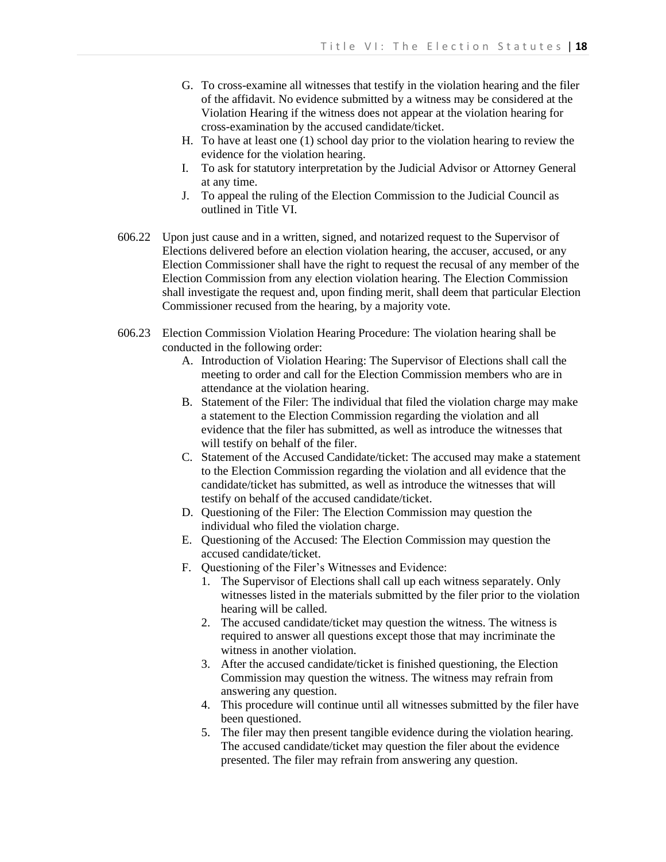- G. To cross-examine all witnesses that testify in the violation hearing and the filer of the affidavit. No evidence submitted by a witness may be considered at the Violation Hearing if the witness does not appear at the violation hearing for cross-examination by the accused candidate/ticket.
- H. To have at least one (1) school day prior to the violation hearing to review the evidence for the violation hearing.
- I. To ask for statutory interpretation by the Judicial Advisor or Attorney General at any time.
- J. To appeal the ruling of the Election Commission to the Judicial Council as outlined in Title VI.
- 606.22 Upon just cause and in a written, signed, and notarized request to the Supervisor of Elections delivered before an election violation hearing, the accuser, accused, or any Election Commissioner shall have the right to request the recusal of any member of the Election Commission from any election violation hearing. The Election Commission shall investigate the request and, upon finding merit, shall deem that particular Election Commissioner recused from the hearing, by a majority vote.
- 606.23 Election Commission Violation Hearing Procedure: The violation hearing shall be conducted in the following order:
	- A. Introduction of Violation Hearing: The Supervisor of Elections shall call the meeting to order and call for the Election Commission members who are in attendance at the violation hearing.
	- B. Statement of the Filer: The individual that filed the violation charge may make a statement to the Election Commission regarding the violation and all evidence that the filer has submitted, as well as introduce the witnesses that will testify on behalf of the filer.
	- C. Statement of the Accused Candidate/ticket: The accused may make a statement to the Election Commission regarding the violation and all evidence that the candidate/ticket has submitted, as well as introduce the witnesses that will testify on behalf of the accused candidate/ticket.
	- D. Questioning of the Filer: The Election Commission may question the individual who filed the violation charge.
	- E. Questioning of the Accused: The Election Commission may question the accused candidate/ticket.
	- F. Questioning of the Filer's Witnesses and Evidence:
		- 1. The Supervisor of Elections shall call up each witness separately. Only witnesses listed in the materials submitted by the filer prior to the violation hearing will be called.
		- 2. The accused candidate/ticket may question the witness. The witness is required to answer all questions except those that may incriminate the witness in another violation.
		- 3. After the accused candidate/ticket is finished questioning, the Election Commission may question the witness. The witness may refrain from answering any question.
		- 4. This procedure will continue until all witnesses submitted by the filer have been questioned.
		- 5. The filer may then present tangible evidence during the violation hearing. The accused candidate/ticket may question the filer about the evidence presented. The filer may refrain from answering any question.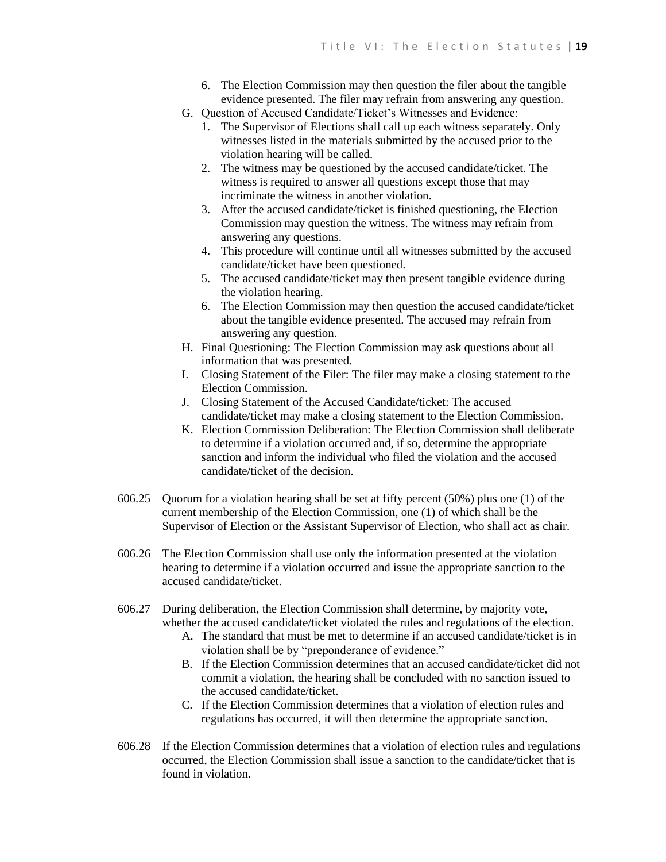- 6. The Election Commission may then question the filer about the tangible evidence presented. The filer may refrain from answering any question.
- G. Question of Accused Candidate/Ticket's Witnesses and Evidence:
	- 1. The Supervisor of Elections shall call up each witness separately. Only witnesses listed in the materials submitted by the accused prior to the violation hearing will be called.
	- 2. The witness may be questioned by the accused candidate/ticket. The witness is required to answer all questions except those that may incriminate the witness in another violation.
	- 3. After the accused candidate/ticket is finished questioning, the Election Commission may question the witness. The witness may refrain from answering any questions.
	- 4. This procedure will continue until all witnesses submitted by the accused candidate/ticket have been questioned.
	- 5. The accused candidate/ticket may then present tangible evidence during the violation hearing.
	- 6. The Election Commission may then question the accused candidate/ticket about the tangible evidence presented. The accused may refrain from answering any question.
- H. Final Questioning: The Election Commission may ask questions about all information that was presented.
- I. Closing Statement of the Filer: The filer may make a closing statement to the Election Commission.
- J. Closing Statement of the Accused Candidate/ticket: The accused candidate/ticket may make a closing statement to the Election Commission.
- K. Election Commission Deliberation: The Election Commission shall deliberate to determine if a violation occurred and, if so, determine the appropriate sanction and inform the individual who filed the violation and the accused candidate/ticket of the decision.
- 606.25 Quorum for a violation hearing shall be set at fifty percent (50%) plus one (1) of the current membership of the Election Commission, one (1) of which shall be the Supervisor of Election or the Assistant Supervisor of Election, who shall act as chair.
- 606.26 The Election Commission shall use only the information presented at the violation hearing to determine if a violation occurred and issue the appropriate sanction to the accused candidate/ticket.
- 606.27 During deliberation, the Election Commission shall determine, by majority vote, whether the accused candidate/ticket violated the rules and regulations of the election.
	- A. The standard that must be met to determine if an accused candidate/ticket is in violation shall be by "preponderance of evidence."
	- B. If the Election Commission determines that an accused candidate/ticket did not commit a violation, the hearing shall be concluded with no sanction issued to the accused candidate/ticket.
	- C. If the Election Commission determines that a violation of election rules and regulations has occurred, it will then determine the appropriate sanction.
- 606.28 If the Election Commission determines that a violation of election rules and regulations occurred, the Election Commission shall issue a sanction to the candidate/ticket that is found in violation.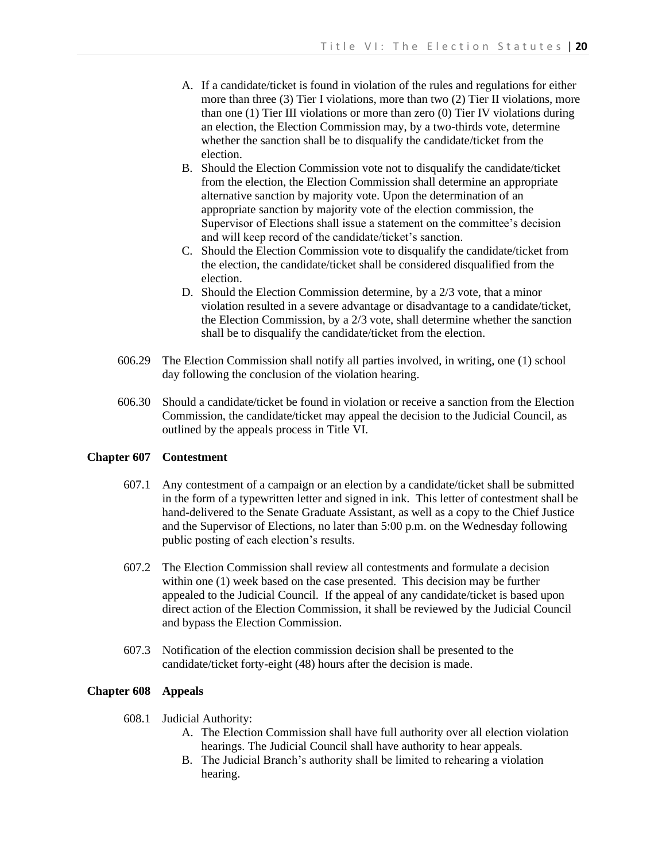- A. If a candidate/ticket is found in violation of the rules and regulations for either more than three (3) Tier I violations, more than two (2) Tier II violations, more than one (1) Tier III violations or more than zero (0) Tier IV violations during an election, the Election Commission may, by a two-thirds vote, determine whether the sanction shall be to disqualify the candidate/ticket from the election.
- B. Should the Election Commission vote not to disqualify the candidate/ticket from the election, the Election Commission shall determine an appropriate alternative sanction by majority vote. Upon the determination of an appropriate sanction by majority vote of the election commission, the Supervisor of Elections shall issue a statement on the committee's decision and will keep record of the candidate/ticket's sanction.
- C. Should the Election Commission vote to disqualify the candidate/ticket from the election, the candidate/ticket shall be considered disqualified from the election.
- D. Should the Election Commission determine, by a 2/3 vote, that a minor violation resulted in a severe advantage or disadvantage to a candidate/ticket, the Election Commission, by a 2/3 vote, shall determine whether the sanction shall be to disqualify the candidate/ticket from the election.
- 606.29 The Election Commission shall notify all parties involved, in writing, one (1) school day following the conclusion of the violation hearing.
- 606.30 Should a candidate/ticket be found in violation or receive a sanction from the Election Commission, the candidate/ticket may appeal the decision to the Judicial Council, as outlined by the appeals process in Title VI.

# **Chapter 607 Contestment**

- 607.1 Any contestment of a campaign or an election by a candidate/ticket shall be submitted in the form of a typewritten letter and signed in ink. This letter of contestment shall be hand-delivered to the Senate Graduate Assistant, as well as a copy to the Chief Justice and the Supervisor of Elections, no later than 5:00 p.m. on the Wednesday following public posting of each election's results.
- 607.2 The Election Commission shall review all contestments and formulate a decision within one (1) week based on the case presented. This decision may be further appealed to the Judicial Council. If the appeal of any candidate/ticket is based upon direct action of the Election Commission, it shall be reviewed by the Judicial Council and bypass the Election Commission.
- 607.3 Notification of the election commission decision shall be presented to the candidate/ticket forty-eight (48) hours after the decision is made.

# **Chapter 608 Appeals**

- 608.1 Judicial Authority:
	- A. The Election Commission shall have full authority over all election violation hearings. The Judicial Council shall have authority to hear appeals.
	- B. The Judicial Branch's authority shall be limited to rehearing a violation hearing.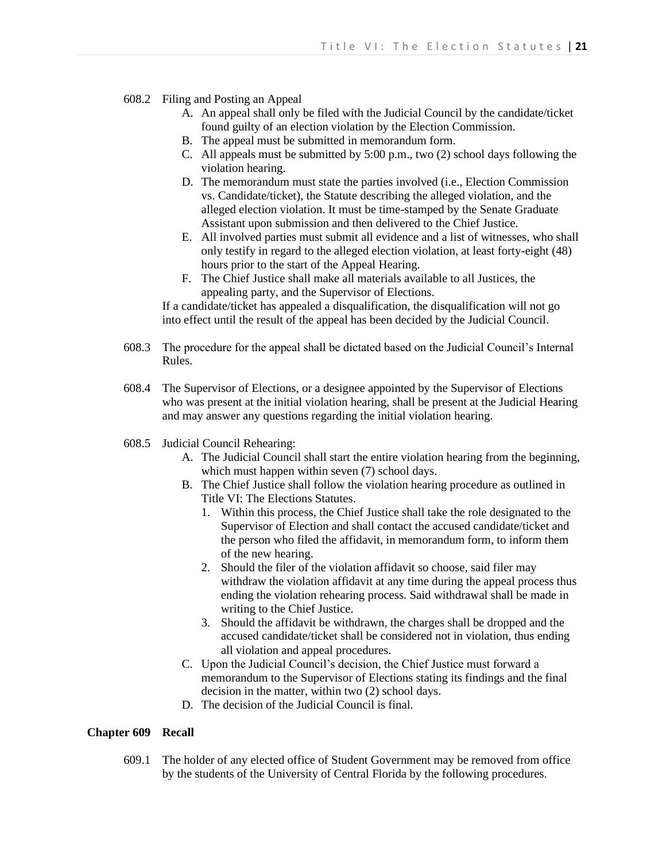- 608.2 Filing and Posting an Appeal
	- A. An appeal shall only be filed with the Judicial Council by the candidate/ticket found guilty of an election violation by the Election Commission.
	- B. The appeal must be submitted in memorandum form.
	- C. All appeals must be submitted by 5:00 p.m., two (2) school days following the violation hearing.
	- D. The memorandum must state the parties involved (i.e., Election Commission vs. Candidate/ticket), the Statute describing the alleged violation, and the alleged election violation. It must be time-stamped by the Senate Graduate Assistant upon submission and then delivered to the Chief Justice.
	- E. All involved parties must submit all evidence and a list of witnesses, who shall only testify in regard to the alleged election violation, at least forty-eight (48) hours prior to the start of the Appeal Hearing.
	- F. The Chief Justice shall make all materials available to all Justices, the appealing party, and the Supervisor of Elections.

If a candidate/ticket has appealed a disqualification, the disqualification will not go into effect until the result of the appeal has been decided by the Judicial Council.

- 608.3 The procedure for the appeal shall be dictated based on the Judicial Council's Internal Rules.
- 608.4 The Supervisor of Elections, or a designee appointed by the Supervisor of Elections who was present at the initial violation hearing, shall be present at the Judicial Hearing and may answer any questions regarding the initial violation hearing.
- 608.5 Judicial Council Rehearing:
	- A. The Judicial Council shall start the entire violation hearing from the beginning, which must happen within seven (7) school days.
	- B. The Chief Justice shall follow the violation hearing procedure as outlined in Title VI: The Elections Statutes.
		- 1. Within this process, the Chief Justice shall take the role designated to the Supervisor of Election and shall contact the accused candidate/ticket and the person who filed the affidavit, in memorandum form, to inform them of the new hearing.
		- 2. Should the filer of the violation affidavit so choose, said filer may withdraw the violation affidavit at any time during the appeal process thus ending the violation rehearing process. Said withdrawal shall be made in writing to the Chief Justice.
		- 3. Should the affidavit be withdrawn, the charges shall be dropped and the accused candidate/ticket shall be considered not in violation, thus ending all violation and appeal procedures.
	- C. Upon the Judicial Council's decision, the Chief Justice must forward a memorandum to the Supervisor of Elections stating its findings and the final decision in the matter, within two (2) school days.
	- D. The decision of the Judicial Council is final.

# **Chapter 609 Recall**

609.1 The holder of any elected office of Student Government may be removed from office by the students of the University of Central Florida by the following procedures.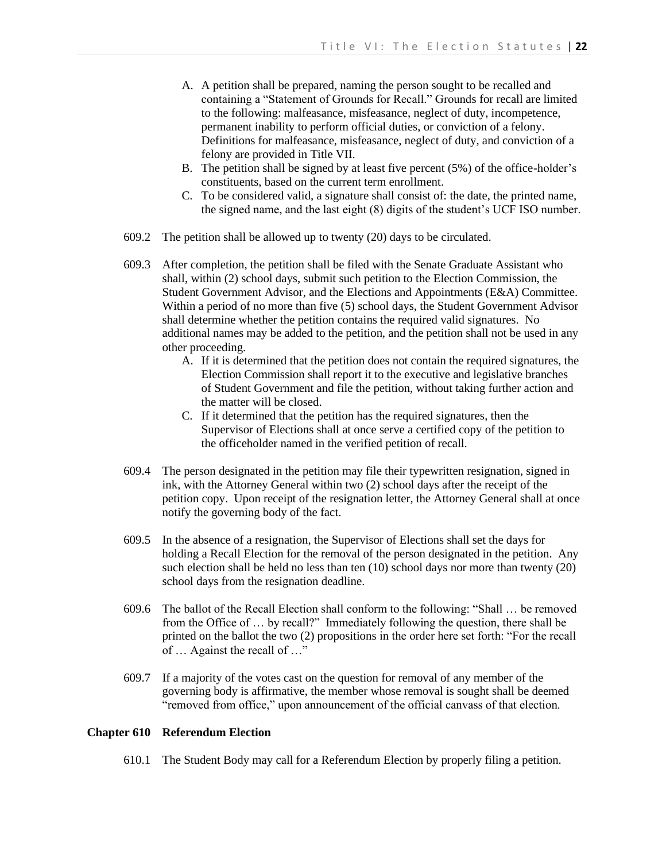- A. A petition shall be prepared, naming the person sought to be recalled and containing a "Statement of Grounds for Recall." Grounds for recall are limited to the following: malfeasance, misfeasance, neglect of duty, incompetence, permanent inability to perform official duties, or conviction of a felony. Definitions for malfeasance, misfeasance, neglect of duty, and conviction of a felony are provided in Title VII.
- B. The petition shall be signed by at least five percent (5%) of the office-holder's constituents, based on the current term enrollment.
- C. To be considered valid, a signature shall consist of: the date, the printed name, the signed name, and the last eight (8) digits of the student's UCF ISO number.
- 609.2 The petition shall be allowed up to twenty (20) days to be circulated.
- 609.3 After completion, the petition shall be filed with the Senate Graduate Assistant who shall, within (2) school days, submit such petition to the Election Commission, the Student Government Advisor, and the Elections and Appointments (E&A) Committee. Within a period of no more than five (5) school days, the Student Government Advisor shall determine whether the petition contains the required valid signatures. No additional names may be added to the petition, and the petition shall not be used in any other proceeding.
	- A. If it is determined that the petition does not contain the required signatures, the Election Commission shall report it to the executive and legislative branches of Student Government and file the petition, without taking further action and the matter will be closed.
	- C. If it determined that the petition has the required signatures, then the Supervisor of Elections shall at once serve a certified copy of the petition to the officeholder named in the verified petition of recall.
- 609.4 The person designated in the petition may file their typewritten resignation, signed in ink, with the Attorney General within two (2) school days after the receipt of the petition copy. Upon receipt of the resignation letter, the Attorney General shall at once notify the governing body of the fact.
- 609.5 In the absence of a resignation, the Supervisor of Elections shall set the days for holding a Recall Election for the removal of the person designated in the petition. Any such election shall be held no less than ten (10) school days nor more than twenty (20) school days from the resignation deadline.
- 609.6 The ballot of the Recall Election shall conform to the following: "Shall … be removed from the Office of … by recall?" Immediately following the question, there shall be printed on the ballot the two (2) propositions in the order here set forth: "For the recall of … Against the recall of …"
- 609.7 If a majority of the votes cast on the question for removal of any member of the governing body is affirmative, the member whose removal is sought shall be deemed "removed from office," upon announcement of the official canvass of that election.

# **Chapter 610 Referendum Election**

610.1 The Student Body may call for a Referendum Election by properly filing a petition.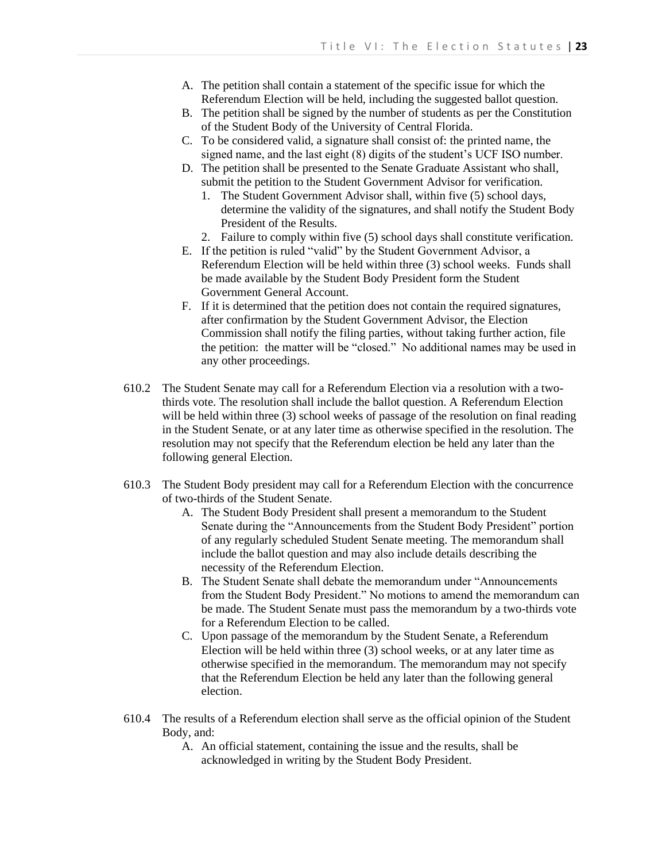- A. The petition shall contain a statement of the specific issue for which the Referendum Election will be held, including the suggested ballot question.
- B. The petition shall be signed by the number of students as per the Constitution of the Student Body of the University of Central Florida.
- C. To be considered valid, a signature shall consist of: the printed name, the signed name, and the last eight (8) digits of the student's UCF ISO number.
- D. The petition shall be presented to the Senate Graduate Assistant who shall, submit the petition to the Student Government Advisor for verification.
	- 1. The Student Government Advisor shall, within five (5) school days, determine the validity of the signatures, and shall notify the Student Body President of the Results.
	- 2. Failure to comply within five (5) school days shall constitute verification.
- E. If the petition is ruled "valid" by the Student Government Advisor, a Referendum Election will be held within three (3) school weeks. Funds shall be made available by the Student Body President form the Student Government General Account.
- F. If it is determined that the petition does not contain the required signatures, after confirmation by the Student Government Advisor, the Election Commission shall notify the filing parties, without taking further action, file the petition: the matter will be "closed." No additional names may be used in any other proceedings.
- 610.2 The Student Senate may call for a Referendum Election via a resolution with a twothirds vote. The resolution shall include the ballot question. A Referendum Election will be held within three (3) school weeks of passage of the resolution on final reading in the Student Senate, or at any later time as otherwise specified in the resolution. The resolution may not specify that the Referendum election be held any later than the following general Election.
- 610.3 The Student Body president may call for a Referendum Election with the concurrence of two-thirds of the Student Senate.
	- A. The Student Body President shall present a memorandum to the Student Senate during the "Announcements from the Student Body President" portion of any regularly scheduled Student Senate meeting. The memorandum shall include the ballot question and may also include details describing the necessity of the Referendum Election.
	- B. The Student Senate shall debate the memorandum under "Announcements from the Student Body President." No motions to amend the memorandum can be made. The Student Senate must pass the memorandum by a two-thirds vote for a Referendum Election to be called.
	- C. Upon passage of the memorandum by the Student Senate, a Referendum Election will be held within three (3) school weeks, or at any later time as otherwise specified in the memorandum. The memorandum may not specify that the Referendum Election be held any later than the following general election.
- 610.4 The results of a Referendum election shall serve as the official opinion of the Student Body, and:
	- A. An official statement, containing the issue and the results, shall be acknowledged in writing by the Student Body President.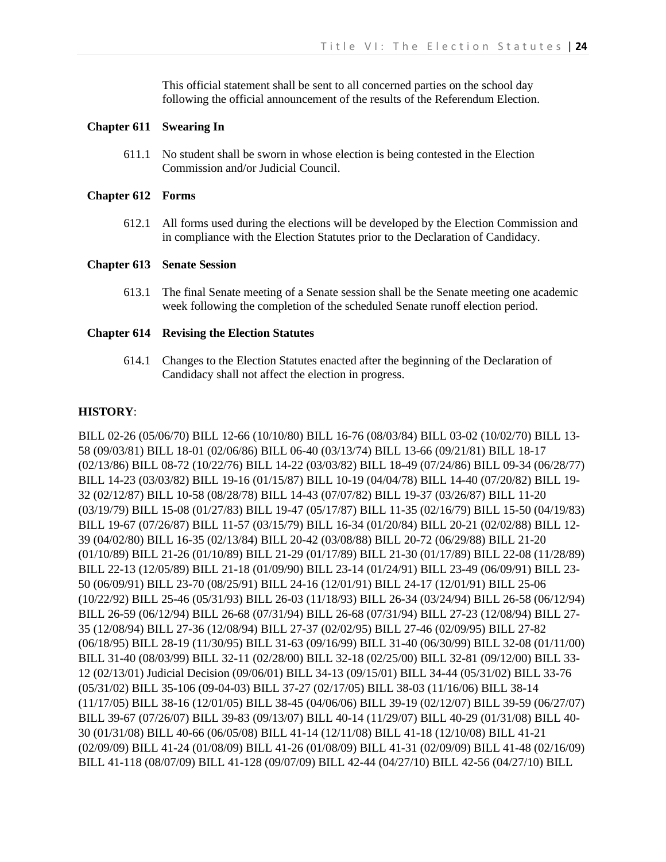This official statement shall be sent to all concerned parties on the school day following the official announcement of the results of the Referendum Election.

# **Chapter 611 Swearing In**

611.1 No student shall be sworn in whose election is being contested in the Election Commission and/or Judicial Council.

## **Chapter 612 Forms**

612.1 All forms used during the elections will be developed by the Election Commission and in compliance with the Election Statutes prior to the Declaration of Candidacy.

## **Chapter 613 Senate Session**

613.1 The final Senate meeting of a Senate session shall be the Senate meeting one academic week following the completion of the scheduled Senate runoff election period.

## **Chapter 614 Revising the Election Statutes**

614.1 Changes to the Election Statutes enacted after the beginning of the Declaration of Candidacy shall not affect the election in progress.

# **HISTORY**:

BILL 02-26 (05/06/70) BILL 12-66 (10/10/80) BILL 16-76 (08/03/84) BILL 03-02 (10/02/70) BILL 13- 58 (09/03/81) BILL 18-01 (02/06/86) BILL 06-40 (03/13/74) BILL 13-66 (09/21/81) BILL 18-17 (02/13/86) BILL 08-72 (10/22/76) BILL 14-22 (03/03/82) BILL 18-49 (07/24/86) BILL 09-34 (06/28/77) BILL 14-23 (03/03/82) BILL 19-16 (01/15/87) BILL 10-19 (04/04/78) BILL 14-40 (07/20/82) BILL 19- 32 (02/12/87) BILL 10-58 (08/28/78) BILL 14-43 (07/07/82) BILL 19-37 (03/26/87) BILL 11-20 (03/19/79) BILL 15-08 (01/27/83) BILL 19-47 (05/17/87) BILL 11-35 (02/16/79) BILL 15-50 (04/19/83) BILL 19-67 (07/26/87) BILL 11-57 (03/15/79) BILL 16-34 (01/20/84) BILL 20-21 (02/02/88) BILL 12- 39 (04/02/80) BILL 16-35 (02/13/84) BILL 20-42 (03/08/88) BILL 20-72 (06/29/88) BILL 21-20 (01/10/89) BILL 21-26 (01/10/89) BILL 21-29 (01/17/89) BILL 21-30 (01/17/89) BILL 22-08 (11/28/89) BILL 22-13 (12/05/89) BILL 21-18 (01/09/90) BILL 23-14 (01/24/91) BILL 23-49 (06/09/91) BILL 23- 50 (06/09/91) BILL 23-70 (08/25/91) BILL 24-16 (12/01/91) BILL 24-17 (12/01/91) BILL 25-06 (10/22/92) BILL 25-46 (05/31/93) BILL 26-03 (11/18/93) BILL 26-34 (03/24/94) BILL 26-58 (06/12/94) BILL 26-59 (06/12/94) BILL 26-68 (07/31/94) BILL 26-68 (07/31/94) BILL 27-23 (12/08/94) BILL 27- 35 (12/08/94) BILL 27-36 (12/08/94) BILL 27-37 (02/02/95) BILL 27-46 (02/09/95) BILL 27-82 (06/18/95) BILL 28-19 (11/30/95) BILL 31-63 (09/16/99) BILL 31-40 (06/30/99) BILL 32-08 (01/11/00) BILL 31-40 (08/03/99) BILL 32-11 (02/28/00) BILL 32-18 (02/25/00) BILL 32-81 (09/12/00) BILL 33- 12 (02/13/01) Judicial Decision (09/06/01) BILL 34-13 (09/15/01) BILL 34-44 (05/31/02) BILL 33-76 (05/31/02) BILL 35-106 (09-04-03) BILL 37-27 (02/17/05) BILL 38-03 (11/16/06) BILL 38-14 (11/17/05) BILL 38-16 (12/01/05) BILL 38-45 (04/06/06) BILL 39-19 (02/12/07) BILL 39-59 (06/27/07) BILL 39-67 (07/26/07) BILL 39-83 (09/13/07) BILL 40-14 (11/29/07) BILL 40-29 (01/31/08) BILL 40- 30 (01/31/08) BILL 40-66 (06/05/08) BILL 41-14 (12/11/08) BILL 41-18 (12/10/08) BILL 41-21 (02/09/09) BILL 41-24 (01/08/09) BILL 41-26 (01/08/09) BILL 41-31 (02/09/09) BILL 41-48 (02/16/09) BILL 41-118 (08/07/09) BILL 41-128 (09/07/09) BILL 42-44 (04/27/10) BILL 42-56 (04/27/10) BILL